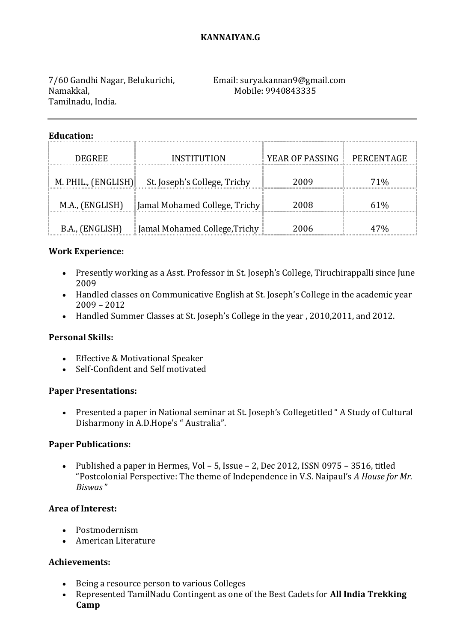## **KANNAIYAN.G**

Namakkal, Mobile: 9940843335 Tamilnadu, India.

# 7/60 Gandhi Nagar, Belukurichi, Email: surya.kannan9@gmail.com

#### **Education:**

| <b>DEGREE</b>   | INSTITUTION                                      | YEAR OF PASSING | PERCENTAGE |
|-----------------|--------------------------------------------------|-----------------|------------|
|                 | M. PHIL., (ENGLISH) St. Joseph's College, Trichy | 2009            | 71%        |
| M.A., (ENGLISH) | Jamal Mohamed College, Trichy                    | 2008            | 61%        |
| B.A., (ENGLISH) | Jamal Mohamed College, Trichy                    | 2006            |            |

### **Work Experience:**

- Presently working as a Asst. Professor in St. Joseph's College, Tiruchirappalli since June 2009
- Handled classes on Communicative English at St. Joseph's College in the academic year 2009 – 2012
- Handled Summer Classes at St. Joseph's College in the year , 2010,2011, and 2012.

## **Personal Skills:**

- Effective & Motivational Speaker
- Self-Confident and Self motivated

#### **Paper Presentations:**

 Presented a paper in National seminar at St. Joseph's Collegetitled " A Study of Cultural Disharmony in A.D.Hope's " Australia".

## **Paper Publications:**

 Published a paper in Hermes, Vol – 5, Issue – 2, Dec 2012, ISSN 0975 – 3516, titled "Postcolonial Perspective: The theme of Independence in V.S. Naipaul's *A House for Mr. Biswas* "

#### **Area of Interest:**

- Postmodernism
- American Literature

## **Achievements:**

- Being a resource person to various Colleges
- Represented TamilNadu Contingent as one of the Best Cadets for **All India Trekking Camp**